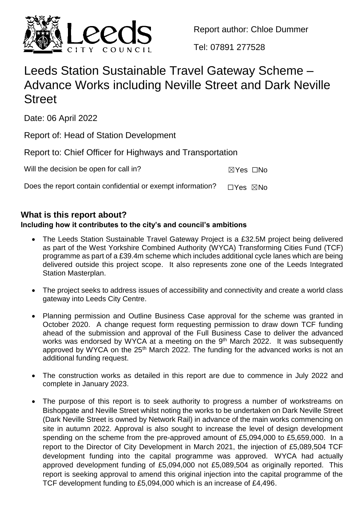

Report author: Chloe Dummer

Tel: 07891 277528

# Leeds Station Sustainable Travel Gateway Scheme – Advance Works including Neville Street and Dark Neville **Street**

Date: 06 April 2022

Report of: Head of Station Development

Report to: Chief Officer for Highways and Transportation

Will the decision be open for call in?  $\boxtimes Y$ es  $\Box$ No

Does the report contain confidential or exempt information?  $\Box$ Yes  $\boxtimes$ No

# **What is this report about?**

# **Including how it contributes to the city's and council's ambitions**

- The Leeds Station Sustainable Travel Gateway Project is a £32.5M project being delivered as part of the West Yorkshire Combined Authority (WYCA) Transforming Cities Fund (TCF) programme as part of a £39.4m scheme which includes additional cycle lanes which are being delivered outside this project scope. It also represents zone one of the Leeds Integrated Station Masterplan.
- The project seeks to address issues of accessibility and connectivity and create a world class gateway into Leeds City Centre.
- Planning permission and Outline Business Case approval for the scheme was granted in October 2020. A change request form requesting permission to draw down TCF funding ahead of the submission and approval of the Full Business Case to deliver the advanced works was endorsed by WYCA at a meeting on the 9<sup>th</sup> March 2022. It was subsequently approved by WYCA on the 25<sup>th</sup> March 2022. The funding for the advanced works is not an additional funding request.
- The construction works as detailed in this report are due to commence in July 2022 and complete in January 2023.
- The purpose of this report is to seek authority to progress a number of workstreams on Bishopgate and Neville Street whilst noting the works to be undertaken on Dark Neville Street (Dark Neville Street is owned by Network Rail) in advance of the main works commencing on site in autumn 2022. Approval is also sought to increase the level of design development spending on the scheme from the pre-approved amount of £5,094,000 to £5,659,000. In a report to the Director of City Development in March 2021, the injection of £5,089,504 TCF development funding into the capital programme was approved. WYCA had actually approved development funding of £5,094,000 not £5,089,504 as originally reported. This report is seeking approval to amend this original injection into the capital programme of the TCF development funding to £5,094,000 which is an increase of £4,496.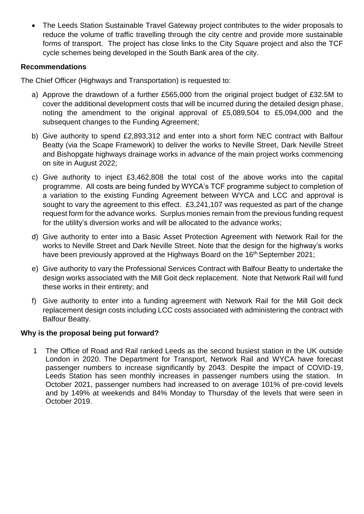The Leeds Station Sustainable Travel Gateway project contributes to the wider proposals to reduce the volume of traffic travelling through the city centre and provide more sustainable forms of transport. The project has close links to the City Square project and also the TCF cycle schemes being developed in the South Bank area of the city.

#### **Recommendations**

The Chief Officer (Highways and Transportation) is requested to:

- a) Approve the drawdown of a further £565,000 from the original project budget of £32.5M to cover the additional development costs that will be incurred during the detailed design phase, noting the amendment to the original approval of £5,089,504 to £5,094,000 and the subsequent changes to the Funding Agreement;
- b) Give authority to spend £2,893,312 and enter into a short form NEC contract with Balfour Beatty (via the Scape Framework) to deliver the works to Neville Street, Dark Neville Street and Bishopgate highways drainage works in advance of the main project works commencing on site in August 2022;
- c) Give authority to inject £3,462,808 the total cost of the above works into the capital programme. All costs are being funded by WYCA's TCF programme subject to completion of a variation to the existing Funding Agreement between WYCA and LCC and approval is sought to vary the agreement to this effect. £3,241,107 was requested as part of the change request form for the advance works. Surplus monies remain from the previous funding request for the utility's diversion works and will be allocated to the advance works;
- d) Give authority to enter into a Basic Asset Protection Agreement with Network Rail for the works to Neville Street and Dark Neville Street. Note that the design for the highway's works have been previously approved at the Highways Board on the 16<sup>th</sup> September 2021;
- e) Give authority to vary the Professional Services Contract with Balfour Beatty to undertake the design works associated with the Mill Goit deck replacement. Note that Network Rail will fund these works in their entirety; and
- f) Give authority to enter into a funding agreement with Network Rail for the Mill Goit deck replacement design costs including LCC costs associated with administering the contract with Balfour Beatty.

## **Why is the proposal being put forward?**

1 The Office of Road and Rail ranked Leeds as the second busiest station in the UK outside London in 2020. The Department for Transport, Network Rail and WYCA have forecast passenger numbers to increase significantly by 2043. Despite the impact of COVID-19, Leeds Station has seen monthly increases in passenger numbers using the station. In October 2021, passenger numbers had increased to on average 101% of pre-covid levels and by 149% at weekends and 84% Monday to Thursday of the levels that were seen in October 2019.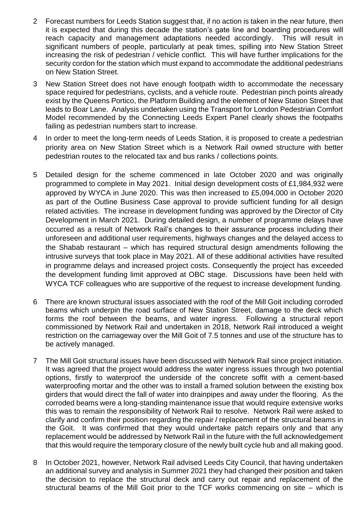- 2 Forecast numbers for Leeds Station suggest that, if no action is taken in the near future, then it is expected that during this decade the station's gate line and boarding procedures will reach capacity and management adaptations needed accordingly. This will result in significant numbers of people, particularly at peak times, spilling into New Station Street increasing the risk of pedestrian / vehicle conflict. This will have further implications for the security cordon for the station which must expand to accommodate the additional pedestrians on New Station Street.
- 3 New Station Street does not have enough footpath width to accommodate the necessary space required for pedestrians, cyclists, and a vehicle route. Pedestrian pinch points already exist by the Queens Portico, the Platform Building and the element of New Station Street that leads to Boar Lane. Analysis undertaken using the Transport for London Pedestrian Comfort Model recommended by the Connecting Leeds Expert Panel clearly shows the footpaths failing as pedestrian numbers start to increase.
- 4 In order to meet the long-term needs of Leeds Station, it is proposed to create a pedestrian priority area on New Station Street which is a Network Rail owned structure with better pedestrian routes to the relocated tax and bus ranks / collections points.
- 5 Detailed design for the scheme commenced in late October 2020 and was originally programmed to complete in May 2021. Initial design development costs of £1,984,932 were approved by WYCA in June 2020. This was then increased to £5,094,000 in October 2020 as part of the Outline Business Case approval to provide sufficient funding for all design related activities. The increase in development funding was approved by the Director of City Development in March 2021. During detailed design, a number of programme delays have occurred as a result of Network Rail's changes to their assurance process including their unforeseen and additional user requirements, highways changes and the delayed access to the Shabab restaurant – which has required structural design amendments following the intrusive surveys that took place in May 2021. All of these additional activities have resulted in programme delays and increased project costs. Consequently the project has exceeded the development funding limit approved at OBC stage. Discussions have been held with WYCA TCF colleagues who are supportive of the request to increase development funding.
- 6 There are known structural issues associated with the roof of the Mill Goit including corroded beams which underpin the road surface of New Station Street, damage to the deck which forms the roof between the beams, and water ingress. Following a structural report commissioned by Network Rail and undertaken in 2018, Network Rail introduced a weight restriction on the carriageway over the Mill Goit of 7.5 tonnes and use of the structure has to be actively managed.
- 7 The Mill Goit structural issues have been discussed with Network Rail since project initiation. It was agreed that the project would address the water ingress issues through two potential options, firstly to waterproof the underside of the concrete soffit with a cement-based waterproofing mortar and the other was to install a framed solution between the existing box girders that would direct the fall of water into drainpipes and away under the flooring. As the corroded beams were a long-standing maintenance issue that would require extensive works this was to remain the responsibility of Network Rail to resolve. Network Rail were asked to clarify and confirm their position regarding the repair / replacement of the structural beams in the Goit. It was confirmed that they would undertake patch repairs only and that any replacement would be addressed by Network Rail in the future with the full acknowledgement that this would require the temporary closure of the newly built cycle hub and all making good.
- 8 In October 2021, however, Network Rail advised Leeds City Council, that having undertaken an additional survey and analysis in Summer 2021 they had changed their position and taken the decision to replace the structural deck and carry out repair and replacement of the structural beams of the Mill Goit prior to the TCF works commencing on site – which is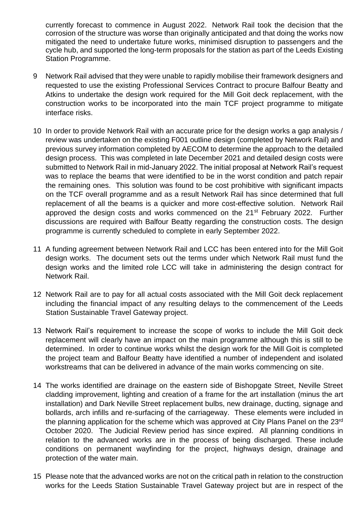currently forecast to commence in August 2022. Network Rail took the decision that the corrosion of the structure was worse than originally anticipated and that doing the works now mitigated the need to undertake future works, minimised disruption to passengers and the cycle hub, and supported the long-term proposals for the station as part of the Leeds Existing Station Programme.

- 9 Network Rail advised that they were unable to rapidly mobilise their framework designers and requested to use the existing Professional Services Contract to procure Balfour Beatty and Atkins to undertake the design work required for the Mill Goit deck replacement, with the construction works to be incorporated into the main TCF project programme to mitigate interface risks.
- 10 In order to provide Network Rail with an accurate price for the design works a gap analysis / review was undertaken on the existing F001 outline design (completed by Network Rail) and previous survey information completed by AECOM to determine the approach to the detailed design process. This was completed in late December 2021 and detailed design costs were submitted to Network Rail in mid-January 2022. The initial proposal at Network Rail's request was to replace the beams that were identified to be in the worst condition and patch repair the remaining ones. This solution was found to be cost prohibitive with significant impacts on the TCF overall programme and as a result Network Rail has since determined that full replacement of all the beams is a quicker and more cost-effective solution. Network Rail approved the design costs and works commenced on the 21<sup>st</sup> February 2022. Further discussions are required with Balfour Beatty regarding the construction costs. The design programme is currently scheduled to complete in early September 2022.
- 11 A funding agreement between Network Rail and LCC has been entered into for the Mill Goit design works. The document sets out the terms under which Network Rail must fund the design works and the limited role LCC will take in administering the design contract for Network Rail.
- 12 Network Rail are to pay for all actual costs associated with the Mill Goit deck replacement including the financial impact of any resulting delays to the commencement of the Leeds Station Sustainable Travel Gateway project.
- 13 Network Rail's requirement to increase the scope of works to include the Mill Goit deck replacement will clearly have an impact on the main programme although this is still to be determined. In order to continue works whilst the design work for the Mill Goit is completed the project team and Balfour Beatty have identified a number of independent and isolated workstreams that can be delivered in advance of the main works commencing on site.
- 14 The works identified are drainage on the eastern side of Bishopgate Street, Neville Street cladding improvement, lighting and creation of a frame for the art installation (minus the art installation) and Dark Neville Street replacement bulbs, new drainage, ducting, signage and bollards, arch infills and re-surfacing of the carriageway. These elements were included in the planning application for the scheme which was approved at City Plans Panel on the 23<sup>rd</sup> October 2020. The Judicial Review period has since expired. All planning conditions in relation to the advanced works are in the process of being discharged. These include conditions on permanent wayfinding for the project, highways design, drainage and protection of the water main.
- 15 Please note that the advanced works are not on the critical path in relation to the construction works for the Leeds Station Sustainable Travel Gateway project but are in respect of the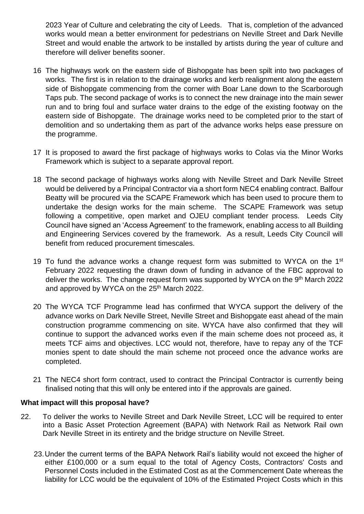2023 Year of Culture and celebrating the city of Leeds. That is, completion of the advanced works would mean a better environment for pedestrians on Neville Street and Dark Neville Street and would enable the artwork to be installed by artists during the year of culture and therefore will deliver benefits sooner.

- 16 The highways work on the eastern side of Bishopgate has been spilt into two packages of works. The first is in relation to the drainage works and kerb realignment along the eastern side of Bishopgate commencing from the corner with Boar Lane down to the Scarborough Taps pub. The second package of works is to connect the new drainage into the main sewer run and to bring foul and surface water drains to the edge of the existing footway on the eastern side of Bishopgate. The drainage works need to be completed prior to the start of demolition and so undertaking them as part of the advance works helps ease pressure on the programme.
- 17 It is proposed to award the first package of highways works to Colas via the Minor Works Framework which is subject to a separate approval report.
- 18 The second package of highways works along with Neville Street and Dark Neville Street would be delivered by a Principal Contractor via a short form NEC4 enabling contract. Balfour Beatty will be procured via the SCAPE Framework which has been used to procure them to undertake the design works for the main scheme. The SCAPE Framework was setup following a competitive, open market and OJEU compliant tender process. Leeds City Council have signed an 'Access Agreement' to the framework, enabling access to all Building and Engineering Services covered by the framework. As a result, Leeds City Council will benefit from reduced procurement timescales.
- 19 To fund the advance works a change request form was submitted to WYCA on the  $1<sup>st</sup>$ February 2022 requesting the drawn down of funding in advance of the FBC approval to deliver the works. The change request form was supported by WYCA on the 9<sup>th</sup> March 2022 and approved by WYCA on the 25<sup>th</sup> March 2022.
- 20 The WYCA TCF Programme lead has confirmed that WYCA support the delivery of the advance works on Dark Neville Street, Neville Street and Bishopgate east ahead of the main construction programme commencing on site. WYCA have also confirmed that they will continue to support the advanced works even if the main scheme does not proceed as, it meets TCF aims and objectives. LCC would not, therefore, have to repay any of the TCF monies spent to date should the main scheme not proceed once the advance works are completed.
- 21 The NEC4 short form contract, used to contract the Principal Contractor is currently being finalised noting that this will only be entered into if the approvals are gained.

#### **What impact will this proposal have?**

- 22. To deliver the works to Neville Street and Dark Neville Street, LCC will be required to enter into a Basic Asset Protection Agreement (BAPA) with Network Rail as Network Rail own Dark Neville Street in its entirety and the bridge structure on Neville Street.
	- 23.Under the current terms of the BAPA Network Rail's liability would not exceed the higher of either £100,000 or a sum equal to the total of Agency Costs, Contractors' Costs and Personnel Costs included in the Estimated Cost as at the Commencement Date whereas the liability for LCC would be the equivalent of 10% of the Estimated Project Costs which in this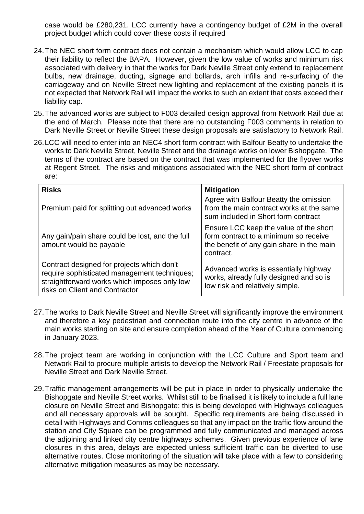case would be £280,231. LCC currently have a contingency budget of £2M in the overall project budget which could cover these costs if required

- 24.The NEC short form contract does not contain a mechanism which would allow LCC to cap their liability to reflect the BAPA. However, given the low value of works and minimum risk associated with delivery in that the works for Dark Neville Street only extend to replacement bulbs, new drainage, ducting, signage and bollards, arch infills and re-surfacing of the carriageway and on Neville Street new lighting and replacement of the existing panels it is not expected that Network Rail will impact the works to such an extent that costs exceed their liability cap.
- 25.The advanced works are subject to F003 detailed design approval from Network Rail due at the end of March. Please note that there are no outstanding F003 comments in relation to Dark Neville Street or Neville Street these design proposals are satisfactory to Network Rail.
- 26.LCC will need to enter into an NEC4 short form contract with Balfour Beatty to undertake the works to Dark Neville Street, Neville Street and the drainage works on lower Bishopgate. The terms of the contract are based on the contract that was implemented for the flyover works at Regent Street. The risks and mitigations associated with the NEC short form of contract are:

| <b>Risks</b>                                                                                                                                                                 | <b>Mitigation</b>                                                                                                                         |
|------------------------------------------------------------------------------------------------------------------------------------------------------------------------------|-------------------------------------------------------------------------------------------------------------------------------------------|
| Premium paid for splitting out advanced works                                                                                                                                | Agree with Balfour Beatty the omission<br>from the main contract works at the same<br>sum included in Short form contract                 |
| Any gain/pain share could be lost, and the full<br>amount would be payable                                                                                                   | Ensure LCC keep the value of the short<br>form contract to a minimum so receive<br>the benefit of any gain share in the main<br>contract. |
| Contract designed for projects which don't<br>require sophisticated management techniques;<br>straightforward works which imposes only low<br>risks on Client and Contractor | Advanced works is essentially highway<br>works, already fully designed and so is<br>low risk and relatively simple.                       |

- 27.The works to Dark Neville Street and Neville Street will significantly improve the environment and therefore a key pedestrian and connection route into the city centre in advance of the main works starting on site and ensure completion ahead of the Year of Culture commencing in January 2023.
- 28.The project team are working in conjunction with the LCC Culture and Sport team and Network Rail to procure multiple artists to develop the Network Rail / Freestate proposals for Neville Street and Dark Neville Street.
- 29.Traffic management arrangements will be put in place in order to physically undertake the Bishopgate and Neville Street works. Whilst still to be finalised it is likely to include a full lane closure on Neville Street and Bishopgate; this is being developed with Highways colleagues and all necessary approvals will be sought. Specific requirements are being discussed in detail with Highways and Comms colleagues so that any impact on the traffic flow around the station and City Square can be programmed and fully communicated and managed across the adjoining and linked city centre highways schemes. Given previous experience of lane closures in this area, delays are expected unless sufficient traffic can be diverted to use alternative routes. Close monitoring of the situation will take place with a few to considering alternative mitigation measures as may be necessary.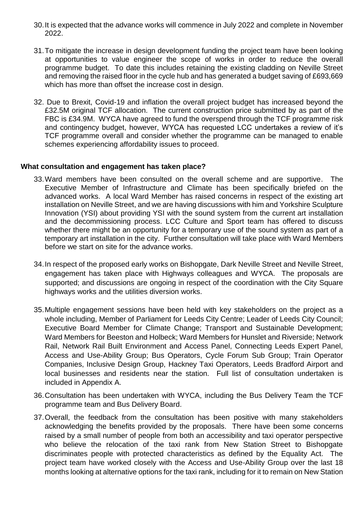- 30.It is expected that the advance works will commence in July 2022 and complete in November 2022.
- 31.To mitigate the increase in design development funding the project team have been looking at opportunities to value engineer the scope of works in order to reduce the overall programme budget. To date this includes retaining the existing cladding on Neville Street and removing the raised floor in the cycle hub and has generated a budget saving of £693,669 which has more than offset the increase cost in design.
- 32. Due to Brexit, Covid-19 and inflation the overall project budget has increased beyond the £32.5M original TCF allocation. The current construction price submitted by as part of the FBC is £34.9M. WYCA have agreed to fund the overspend through the TCF programme risk and contingency budget, however, WYCA has requested LCC undertakes a review of it's TCF programme overall and consider whether the programme can be managed to enable schemes experiencing affordability issues to proceed.

#### **What consultation and engagement has taken place?**

- 33.Ward members have been consulted on the overall scheme and are supportive. The Executive Member of Infrastructure and Climate has been specifically briefed on the advanced works. A local Ward Member has raised concerns in respect of the existing art installation on Neville Street, and we are having discussions with him and Yorkshire Sculpture Innovation (YSI) about providing YSI with the sound system from the current art installation and the decommissioning process. LCC Culture and Sport team has offered to discuss whether there might be an opportunity for a temporary use of the sound system as part of a temporary art installation in the city. Further consultation will take place with Ward Members before we start on site for the advance works.
- 34.In respect of the proposed early works on Bishopgate, Dark Neville Street and Neville Street, engagement has taken place with Highways colleagues and WYCA. The proposals are supported; and discussions are ongoing in respect of the coordination with the City Square highways works and the utilities diversion works.
- 35.Multiple engagement sessions have been held with key stakeholders on the project as a whole including, Member of Parliament for Leeds City Centre; Leader of Leeds City Council; Executive Board Member for Climate Change; Transport and Sustainable Development; Ward Members for Beeston and Holbeck; Ward Members for Hunslet and Riverside; Network Rail, Network Rail Built Environment and Access Panel, Connecting Leeds Expert Panel, Access and Use-Ability Group; Bus Operators, Cycle Forum Sub Group; Train Operator Companies, Inclusive Design Group, Hackney Taxi Operators, Leeds Bradford Airport and local businesses and residents near the station. Full list of consultation undertaken is included in Appendix A.
- 36.Consultation has been undertaken with WYCA, including the Bus Delivery Team the TCF programme team and Bus Delivery Board.
- 37.Overall, the feedback from the consultation has been positive with many stakeholders acknowledging the benefits provided by the proposals. There have been some concerns raised by a small number of people from both an accessibility and taxi operator perspective who believe the relocation of the taxi rank from New Station Street to Bishopgate discriminates people with protected characteristics as defined by the Equality Act. The project team have worked closely with the Access and Use-Ability Group over the last 18 months looking at alternative options for the taxi rank, including for it to remain on New Station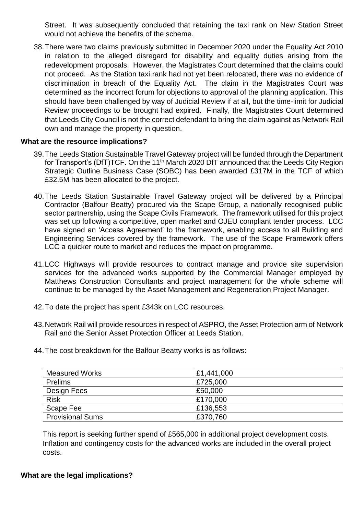Street. It was subsequently concluded that retaining the taxi rank on New Station Street would not achieve the benefits of the scheme.

38.There were two claims previously submitted in December 2020 under the Equality Act 2010 in relation to the alleged disregard for disability and equality duties arising from the redevelopment proposals. However, the Magistrates Court determined that the claims could not proceed. As the Station taxi rank had not yet been relocated, there was no evidence of discrimination in breach of the Equality Act. The claim in the Magistrates Court was determined as the incorrect forum for objections to approval of the planning application. This should have been challenged by way of Judicial Review if at all, but the time-limit for Judicial Review proceedings to be brought had expired. Finally, the Magistrates Court determined that Leeds City Council is not the correct defendant to bring the claim against as Network Rail own and manage the property in question.

#### **What are the resource implications?**

- 39.The Leeds Station Sustainable Travel Gateway project will be funded through the Department for Transport's (DfT)TCF. On the 11<sup>th</sup> March 2020 DfT announced that the Leeds City Region Strategic Outline Business Case (SOBC) has been awarded £317M in the TCF of which £32.5M has been allocated to the project.
- 40.The Leeds Station Sustainable Travel Gateway project will be delivered by a Principal Contractor (Balfour Beatty) procured via the Scape Group, a nationally recognised public sector partnership, using the Scape Civils Framework. The framework utilised for this project was set up following a competitive, open market and OJEU compliant tender process. LCC have signed an 'Access Agreement' to the framework, enabling access to all Building and Engineering Services covered by the framework. The use of the Scape Framework offers LCC a quicker route to market and reduces the impact on programme.
- 41.LCC Highways will provide resources to contract manage and provide site supervision services for the advanced works supported by the Commercial Manager employed by Matthews Construction Consultants and project management for the whole scheme will continue to be managed by the Asset Management and Regeneration Project Manager.
- 42.To date the project has spent £343k on LCC resources.
- 43.Network Rail will provide resources in respect of ASPRO, the Asset Protection arm of Network Rail and the Senior Asset Protection Officer at Leeds Station.
- 44.The cost breakdown for the Balfour Beatty works is as follows:

| <b>Measured Works</b>   | £1,441,000 |
|-------------------------|------------|
| <b>Prelims</b>          | £725,000   |
| Design Fees             | £50,000    |
| <b>Risk</b>             | £170,000   |
| Scape Fee               | £136,553   |
| <b>Provisional Sums</b> | £370,760   |

This report is seeking further spend of £565,000 in additional project development costs. Inflation and contingency costs for the advanced works are included in the overall project costs.

#### **What are the legal implications?**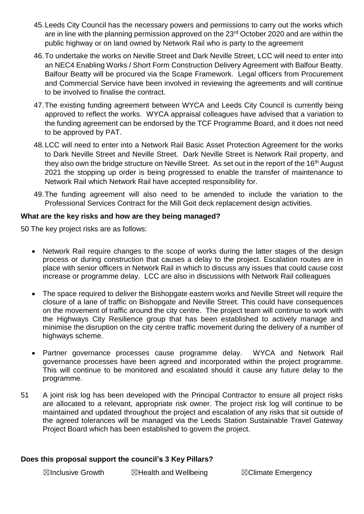- 45.Leeds City Council has the necessary powers and permissions to carry out the works which are in line with the planning permission approved on the 23<sup>rd</sup> October 2020 and are within the public highway or on land owned by Network Rail who is party to the agreement
- 46.To undertake the works on Neville Street and Dark Neville Street, LCC will need to enter into an NEC4 Enabling Works / Short Form Construction Delivery Agreement with Balfour Beatty. Balfour Beatty will be procured via the Scape Framework. Legal officers from Procurement and Commercial Service have been involved in reviewing the agreements and will continue to be involved to finalise the contract.
- 47.The existing funding agreement between WYCA and Leeds City Council is currently being approved to reflect the works. WYCA appraisal colleagues have advised that a variation to the funding agreement can be endorsed by the TCF Programme Board, and it does not need to be approved by PAT.
- 48.LCC will need to enter into a Network Rail Basic Asset Protection Agreement for the works to Dark Neville Street and Neville Street. Dark Neville Street is Network Rail property, and they also own the bridge structure on Neville Street. As set out in the report of the 16<sup>th</sup> August 2021 the stopping up order is being progressed to enable the transfer of maintenance to Network Rail which Network Rail have accepted responsibility for.
- 49.The funding agreement will also need to be amended to include the variation to the Professional Services Contract for the Mill Goit deck replacement design activities.

## **What are the key risks and how are they being managed?**

50 The key project risks are as follows:

- Network Rail require changes to the scope of works during the latter stages of the design process or during construction that causes a delay to the project. Escalation routes are in place with senior officers in Network Rail in which to discuss any issues that could cause cost increase or programme delay. LCC are also in discussions with Network Rail colleagues
- The space required to deliver the Bishopgate eastern works and Neville Street will require the closure of a lane of traffic on Bishopgate and Neville Street. This could have consequences on the movement of traffic around the city centre. The project team will continue to work with the Highways City Resilience group that has been established to actively manage and minimise the disruption on the city centre traffic movement during the delivery of a number of highways scheme.
- Partner governance processes cause programme delay. WYCA and Network Rail governance processes have been agreed and incorporated within the project programme. This will continue to be monitored and escalated should it cause any future delay to the programme.
- 51 A joint risk log has been developed with the Principal Contractor to ensure all project risks are allocated to a relevant, appropriate risk owner. The project risk log will continue to be maintained and updated throughout the project and escalation of any risks that sit outside of the agreed tolerances will be managed via the Leeds Station Sustainable Travel Gateway Project Board which has been established to govern the project.

## **Does this proposal support the council's 3 Key Pillars?**

☒Inclusive Growth ☒Health and Wellbeing ☒Climate Emergency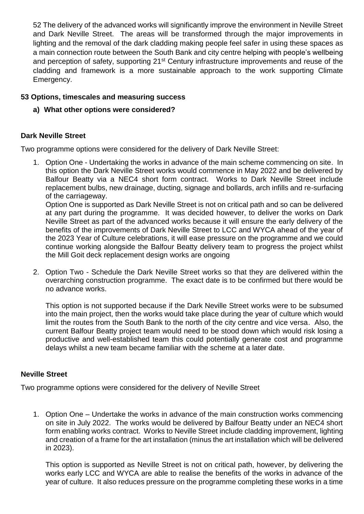52 The delivery of the advanced works will significantly improve the environment in Neville Street and Dark Neville Street. The areas will be transformed through the major improvements in lighting and the removal of the dark cladding making people feel safer in using these spaces as a main connection route between the South Bank and city centre helping with people's wellbeing and perception of safety, supporting 21<sup>st</sup> Century infrastructure improvements and reuse of the cladding and framework is a more sustainable approach to the work supporting Climate Emergency.

## **53 Options, timescales and measuring success**

**a) What other options were considered?**

## **Dark Neville Street**

Two programme options were considered for the delivery of Dark Neville Street:

1. Option One - Undertaking the works in advance of the main scheme commencing on site. In this option the Dark Neville Street works would commence in May 2022 and be delivered by Balfour Beatty via a NEC4 short form contract. Works to Dark Neville Street include replacement bulbs, new drainage, ducting, signage and bollards, arch infills and re-surfacing of the carriageway.

Option One is supported as Dark Neville Street is not on critical path and so can be delivered at any part during the programme. It was decided however, to deliver the works on Dark Neville Street as part of the advanced works because it will ensure the early delivery of the benefits of the improvements of Dark Neville Street to LCC and WYCA ahead of the year of the 2023 Year of Culture celebrations, it will ease pressure on the programme and we could continue working alongside the Balfour Beatty delivery team to progress the project whilst the Mill Goit deck replacement design works are ongoing

2. Option Two - Schedule the Dark Neville Street works so that they are delivered within the overarching construction programme. The exact date is to be confirmed but there would be no advance works.

This option is not supported because if the Dark Neville Street works were to be subsumed into the main project, then the works would take place during the year of culture which would limit the routes from the South Bank to the north of the city centre and vice versa. Also, the current Balfour Beatty project team would need to be stood down which would risk losing a productive and well-established team this could potentially generate cost and programme delays whilst a new team became familiar with the scheme at a later date.

## **Neville Street**

Two programme options were considered for the delivery of Neville Street

1. Option One – Undertake the works in advance of the main construction works commencing on site in July 2022. The works would be delivered by Balfour Beatty under an NEC4 short form enabling works contract. Works to Neville Street include cladding improvement, lighting and creation of a frame for the art installation (minus the art installation which will be delivered in 2023).

This option is supported as Neville Street is not on critical path, however, by delivering the works early LCC and WYCA are able to realise the benefits of the works in advance of the year of culture. It also reduces pressure on the programme completing these works in a time